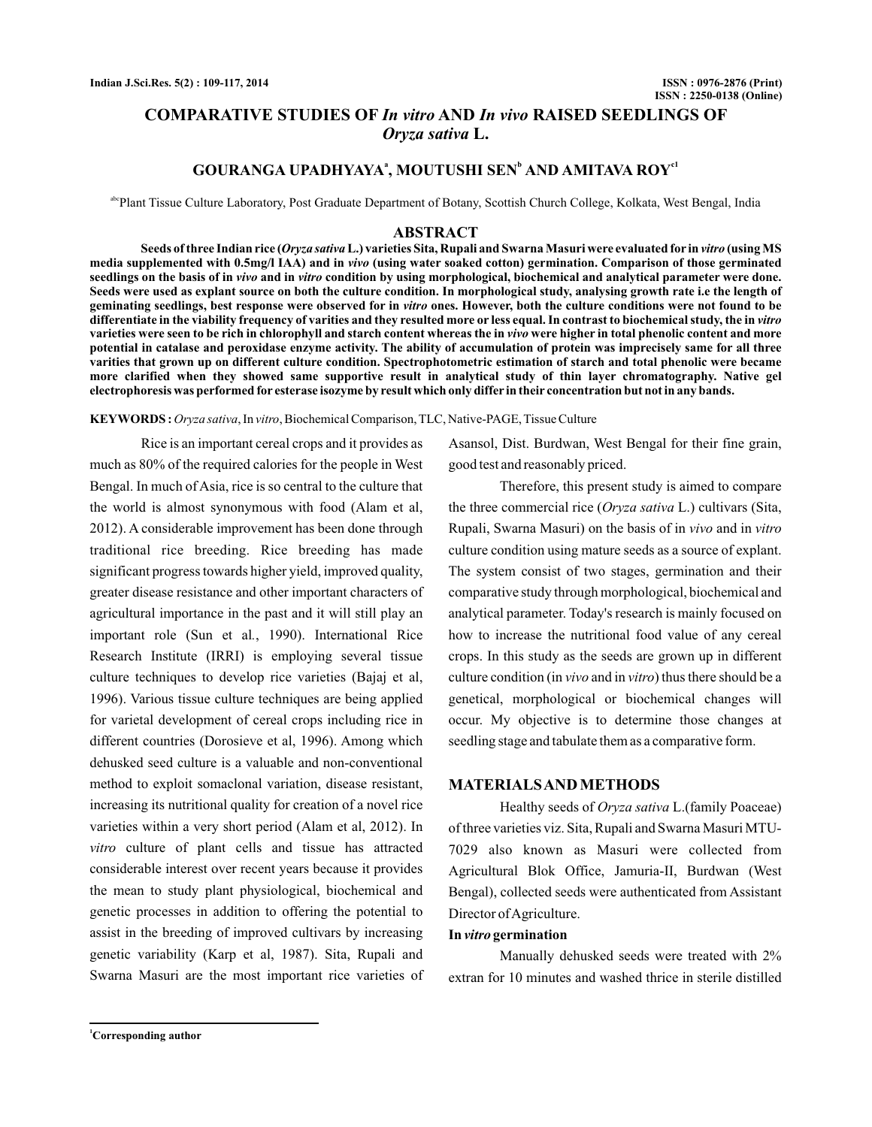# **COMPARATIVE STUDIES OF In vitro AND In vivo RAISED SEEDLINGS OF L.** *Oryza sativa*

## **GOURANGA UPADHYAYA<sup>ª</sup>, MOUTUSHI SEN<sup>b</sup> AND AMITAVA ROY<sup>c1</sup>**

abcPlant Tissue Culture Laboratory, Post Graduate Department of Botany, Scottish Church College, Kolkata, West Bengal, India

#### **ABSTRACT**

Seeds of three Indian rice (*Oryza sativa* L.) varieties Sita, Rupali and Swarna Masuri were evaluated for in *vitro* (using MS media supplemented with 0.5mg/l IAA) and in *vivo* (using water soaked cotton) germination. Comparison of those germinated *seedlings on the basis of in vivo and in vitro condition by using morphological, biochemical and analytical parameter were done.* **Seeds were used as explant source on both the culture condition. In morphological study, analysing growth rate i.e the length of** geminating seedlings, best response were observed for in *vitro* ones. However, both the culture conditions were not found to be **differentiate in the viability frequency of varities and they resulted more or less equal. In contrast to biochemical study, the in** *vitro* varieties were seen to be rich in chlorophyll and starch content whereas the in *vivo* were higher in total phenolic content and more **potential in catalase and peroxidase enzyme activity. The ability of accumulation of protein was imprecisely same for all three varities that grown up on different culture condition. Spectrophotometric estimation of starch and total phenolic were became more clarified when they showed same supportive result in analytical study of thin layer chromatography. Native gel electrophoresis was performed for esterase isozyme by result which only differ in their concentration but not in any bands.**

KEYWORDS : Oryza sativa, In vitro, Biochemical Comparison, TLC, Native-PAGE, Tissue Culture

Rice is an important cereal crops and it provides as much as 80% of the required calories for the people in West Bengal. In much of Asia, rice is so central to the culture that the world is almost synonymous with food (Alam et al, 2012). A considerable improvement has been done through traditional rice breeding. Rice breeding has made significant progress towards higher yield, improved quality, greater disease resistance and other important characters of agricultural importance in the past and it will still play an important role (Sun et al., 1990). International Rice Research Institute (IRRI) is employing several tissue culture techniques to develop rice varieties (Bajaj et al, 1996). Various tissue culture techniques are being applied for varietal development of cereal crops including rice in different countries (Dorosieve et al, 1996). Among which dehusked seed culture is a valuable and non-conventional method to exploit somaclonal variation, disease resistant, increasing its nutritional quality for creation of a novel rice varieties within a very short period (Alam et al, 2012). In vitro culture of plant cells and tissue has attracted considerable interest over recent years because it provides the mean to study plant physiological, biochemical and genetic processes in addition to offering the potential to assist in the breeding of improved cultivars by increasing genetic variability (Karp et al, 1987). Sita, Rupali and Swarna Masuri are the most important rice varieties of Asansol, Dist. Burdwan, West Bengal for their fine grain, good test and reasonably priced.

Therefore, this present study is aimed to compare the three commercial rice (*Oryza sativa* L.) cultivars (Sita, Rupali, Swarna Masuri) on the basis of in vivo and in vitro culture condition using mature seeds as a source of explant. The system consist of two stages, germination and their comparative study through morphological, biochemical and analytical parameter. Today's research is mainly focused on how to increase the nutritional food value of any cereal crops. In this study as the seeds are grown up in different culture condition (in *vivo* and in *vitro*) thus there should be a genetical, morphological or biochemical changes will occur. My objective is to determine those changes at seedling stage and tabulate them as a comparative form.

## **MATERIALSAND METHODS**

Healthy seeds of Oryza sativa L.(family Poaceae) of three varieties viz. Sita, Rupali and Swarna Masuri MTU-7029 also known as Masuri were collected from Agricultural Blok Office, Jamuria-II, Burdwan (West Bengal), collected seeds were authenticated from Assistant Director of Agriculture.

#### In *vitro* germination

Manually dehusked seeds were treated with 2% extran for 10 minutes and washed thrice in sterile distilled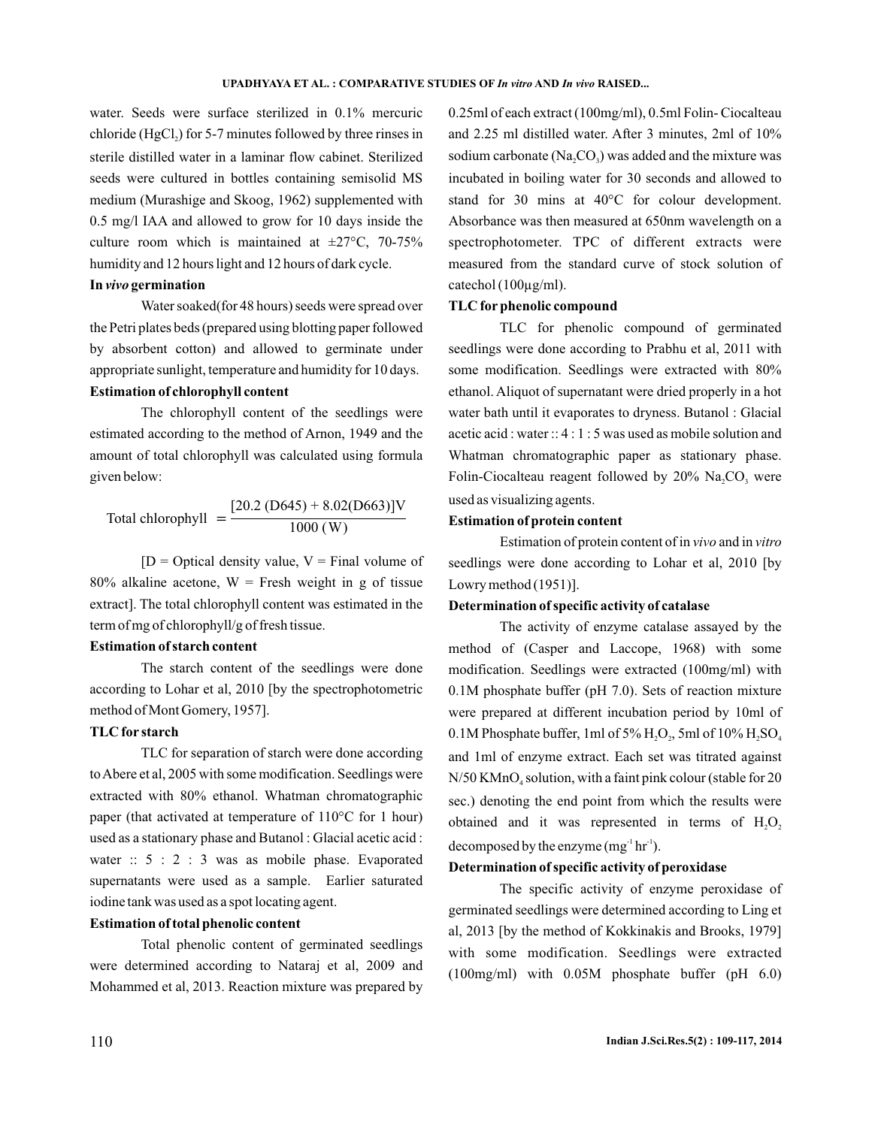water. Seeds were surface sterilized in 0.1% mercuric  $\chi$  chloride (HgCl<sub>2</sub>) for 5-7 minutes followed by three rinses in sterile distilled water in a laminar flow cabinet. Sterilized seeds were cultured in bottles containing semisolid MS medium (Murashige and Skoog, 1962) supplemented with 0.5 mg/l IAA and allowed to grow for 10 days inside the culture room which is maintained at  $\pm 27^{\circ}$ C, 70-75% humidity and 12 hours light and 12 hours of dark cycle.

#### In *vivo* germination

Water soaked(for 48 hours) seeds were spread over the Petri plates beds (prepared using blotting paper followed by absorbent cotton) and allowed to germinate under appropriate sunlight, temperature and humidity for 10 days.

# **Estimation of chlorophyll content**

The chlorophyll content of the seedlings were estimated according to the method of Arnon, 1949 and the amount of total chlorophyll was calculated using formula given below:

Total chlorophyll = 
$$
\frac{[20.2 \text{ (D645)} + 8.02 \text{ (D663)}] \text{V}}{1000 \text{ (W)}}
$$

 $[D = Optical density value, V = Final volume of$  $80\%$  alkaline acetone, W = Fresh weight in g of tissue extract]. The total chlorophyll content was estimated in the term of mg of chlorophyll/g of fresh tissue.

## **Estimation of starch content**

The starch content of the seedlings were done according to Lohar et al, 2010 [by the spectrophotometric method of Mont Gomery, 1957].

## **TLC for starch**

TLC for separation of starch were done according toAbere et al, 2005 with some modification. Seedlings were extracted with 80% ethanol. Whatman chromatographic paper (that activated at temperature of 110°C for 1 hour) used as a stationary phase and Butanol : Glacial acetic acid : water ::  $5 : 2 : 3$  was as mobile phase. Evaporated supernatants were used as a sample. Earlier saturated iodine tank was used as a spot locating agent.

## **Estimation of total phenolic content**

Total phenolic content of germinated seedlings were determined according to Nataraj et al, 2009 and Mohammed et al, 2013. Reaction mixture was prepared by

0.25ml of each extract (100mg/ml), 0.5ml Folin- Ciocalteau and 2.25 ml distilled water. After 3 minutes, 2ml of 10% sodium carbonate (Na<sub>2</sub>CO<sub>3</sub>) was added and the mixture was incubated in boiling water for 30 seconds and allowed to stand for 30 mins at 40°C for colour development. Absorbance was then measured at 650nm wavelength on a spectrophotometer. TPC of different extracts were measured from the standard curve of stock solution of catechol (100µg/ml).

## **TLC for phenolic compound**

TLC for phenolic compound of germinated seedlings were done according to Prabhu et al, 2011 with some modification. Seedlings were extracted with 80% ethanol. Aliquot of supernatant were dried properly in a hot water bath until it evaporates to dryness. Butanol : Glacial acetic acid : water :: 4 : 1 : 5 was used as mobile solution and Whatman chromatographic paper as stationary phase. Folin-Ciocalteau reagent followed by  $20\%$  Na<sub>2</sub>CO<sub>3</sub> were used as visualizing agents.

#### **Estimation of protein content**

Estimation of protein content of in vivo and in vitro seedlings were done according to Lohar et al, 2010 [by Lowry method (1951)].

## **Determination of specific activity of catalase**

The activity of enzyme catalase assayed by the method of (Casper and Laccope, 1968) with some modification. Seedlings were extracted (100mg/ml) with 0.1M phosphate buffer (pH 7.0). Sets of reaction mixture were prepared at different incubation period by 10ml of  $0.1$ M Phosphate buffer, 1ml of 5%  $\rm H_2O_{_2}$ , 5ml of 10%  $\rm H_2SO_{_4}$ and 1ml of enzyme extract. Each set was titrated against N/50  $\rm{KMnO}_4$  solution, with a faint pink colour (stable for 20 sec.) denoting the end point from which the results were obtained and it was represented in terms of  $H_2O_2$ decomposed by the enzyme  $(mg^{-1}hr^{-1})$ .

## **Determination of specific activity of peroxidase**

The specific activity of enzyme peroxidase of germinated seedlings were determined according to Ling et al, 2013 [by the method of Kokkinakis and Brooks, 1979] with some modification. Seedlings were extracted (100mg/ml) with 0.05M phosphate buffer (pH 6.0)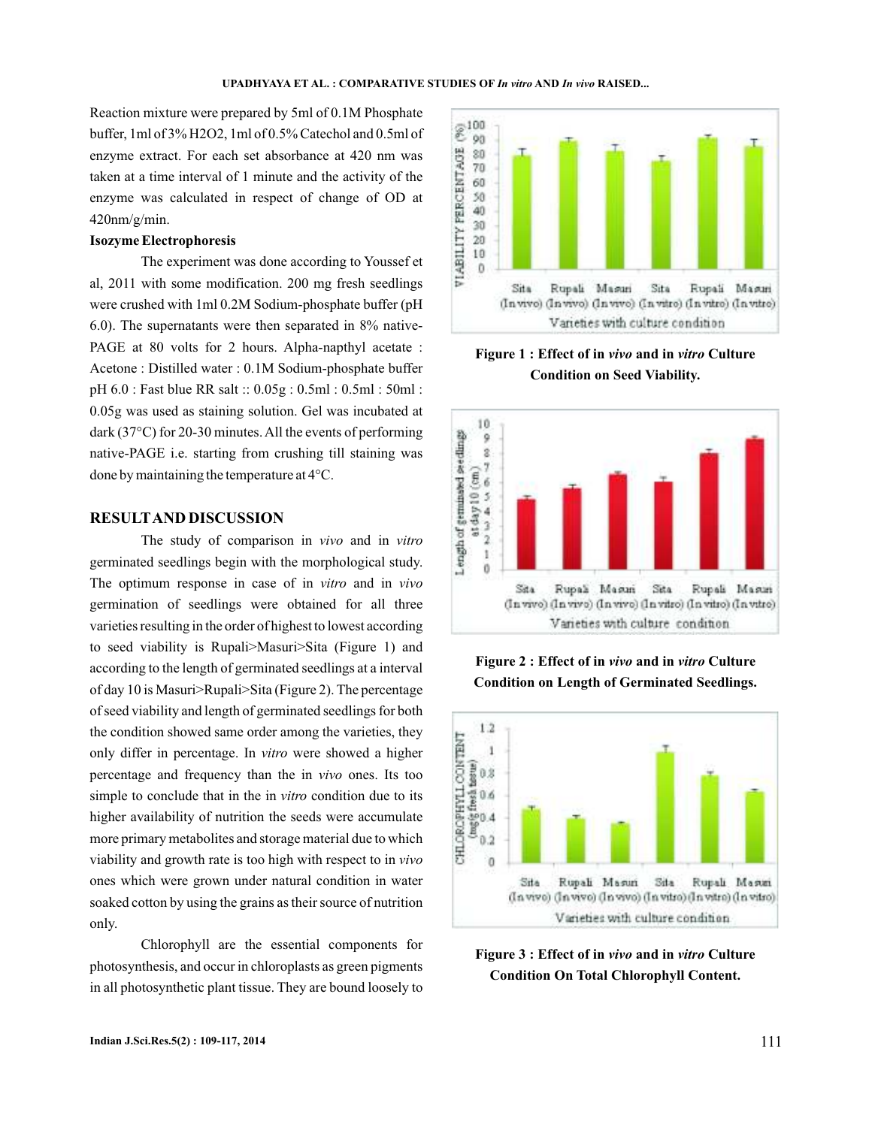Reaction mixture were prepared by 5ml of 0.1M Phosphate buffer, 1ml of 3% H2O2, 1ml of 0.5% Catechol and 0.5ml of enzyme extract. For each set absorbance at 420 nm was taken at a time interval of 1 minute and the activity of the enzyme was calculated in respect of change of OD at 420nm/g/min.

#### **Isozyme Electrophoresis**

The experiment was done according to Youssef et al, 2011 with some modification. 200 mg fresh seedlings were crushed with 1ml 0.2M Sodium-phosphate buffer (pH 6.0). The supernatants were then separated in 8% native-PAGE at 80 volts for 2 hours. Alpha-napthyl acetate : Acetone : Distilled water : 0.1M Sodium-phosphate buffer pH 6.0 : Fast blue RR salt :: 0.05g : 0.5ml : 0.5ml : 50ml : 0.05g was used as staining solution. Gel was incubated at dark (37°C) for 20-30 minutes. All the events of performing native-PAGE i.e. starting from crushing till staining was done by maintaining the temperature at 4°C.

## **RESULTAND DISCUSSION**

The study of comparison in vivo and in vitro germinated seedlings begin with the morphological study. The optimum response in case of in vitro and in vivo germination of seedlings were obtained for all three varieties resulting in the order of highest to lowest according to seed viability is Rupali>Masuri>Sita (Figure 1) and according to the length of germinated seedlings at a interval of day 10 is Masuri>Rupali>Sita (Figure 2). The percentage of seed viability and length of germinated seedlings for both the condition showed same order among the varieties, they only differ in percentage. In vitro were showed a higher percentage and frequency than the in *vivo* ones. Its too simple to conclude that in the in *vitro* condition due to its higher availability of nutrition the seeds were accumulate more primary metabolites and storage material due to which viability and growth rate is too high with respect to in *vivo* ones which were grown under natural condition in water soaked cotton by using the grains as their source of nutrition only.

Chlorophyll are the essential components for photosynthesis, and occur in chloroplasts as green pigments in all photosynthetic plant tissue. They are bound loosely to



Figure 1 : Effect of in vivo and in vitro Culture **Condition on Seed Viability.**



**Figure 2: Effect of in vivo and in vitro Culture Condition on Length of Germinated Seedlings.**



Figure 3 : Effect of in *vivo* and in *vitro* Culture **Condition On Total Chlorophyll Content.**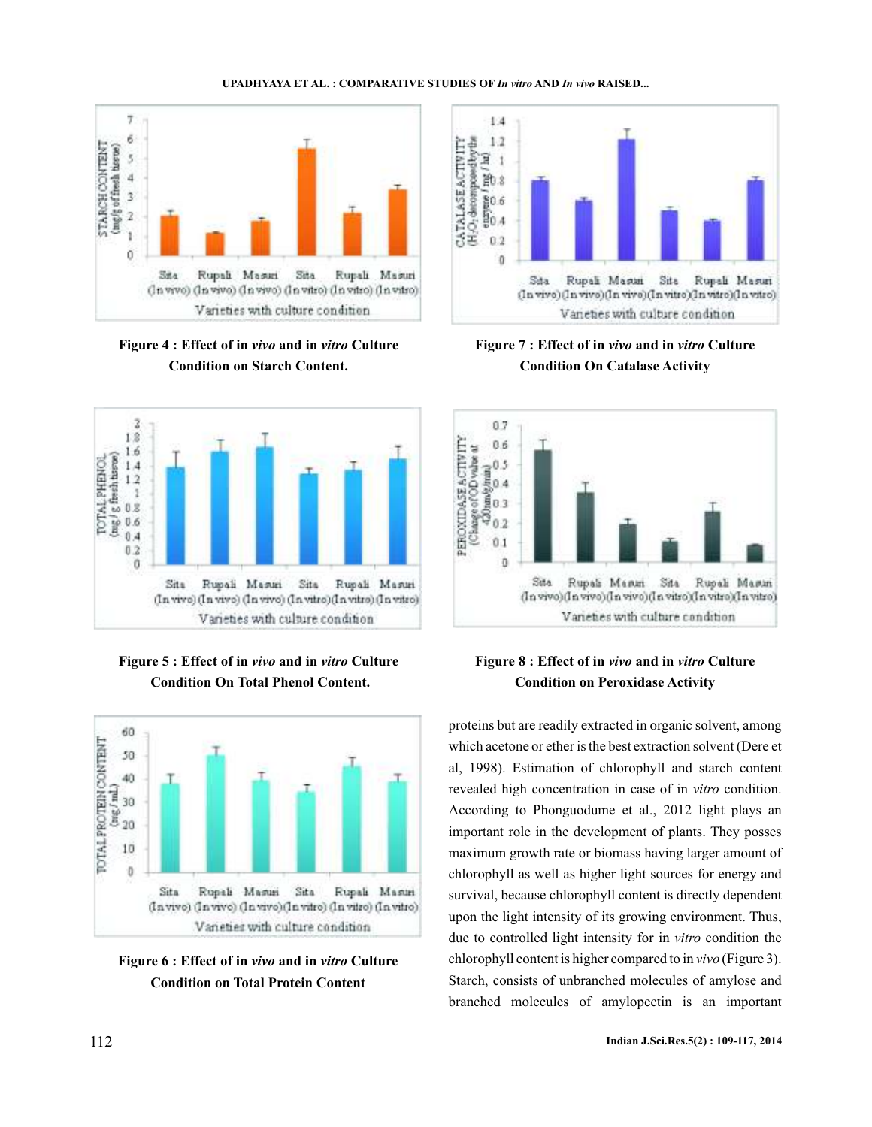

Figure 4 : Effect of in *vivo* and in *vitro* Culture **being Figure 7** : Effect of in *vivo* and in *vitro* **Condition on Starch Content.**



Figure 5 : Effect of in *vivo* and in *vitro* Culture **Condition On Total Phenol Content.**







**Figure 7 : Effect of in vivo and in vitro Culture Condition On Catalase Activity**



# Figure 8 : Effect of in vivo and in vitro Culture **Condition on Peroxidase Activity**

proteins but are readily extracted in organic solvent, among which acetone or ether is the best extraction solvent (Dere et al, 1998). Estimation of chlorophyll and starch content revealed high concentration in case of in *vitro* condition. According to Phonguodume et al., 2012 light plays an important role in the development of plants. They posses maximum growth rate or biomass having larger amount of chlorophyll as well as higher light sources for energy and survival, because chlorophyll content is directly dependent upon the light intensity of its growing environment. Thus, due to controlled light intensity for in *vitro* condition the chlorophyll content is higher compared to in vivo (Figure 3). Starch, consists of unbranched molecules of amylose and branched molecules of amylopectin is an important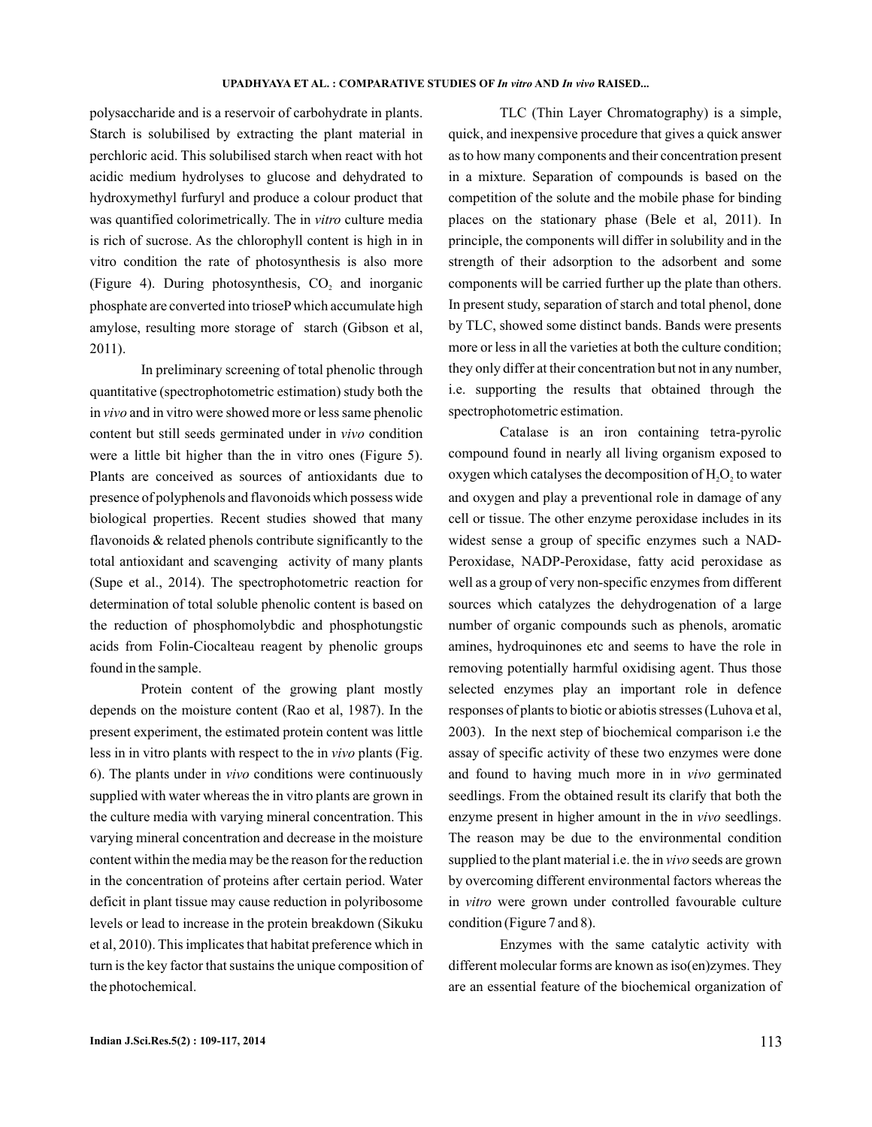polysaccharide and is a reservoir of carbohydrate in plants. Starch is solubilised by extracting the plant material in perchloric acid. This solubilised starch when react with hot acidic medium hydrolyses to glucose and dehydrated to hydroxymethyl furfuryl and produce a colour product that was quantified colorimetrically. The in vitro culture media is rich of sucrose. As the chlorophyll content is high in in vitro condition the rate of photosynthesis is also more (Figure 4). During photosynthesis,  $CO<sub>2</sub>$  and inorganic phosphate are converted into trioseP which accumulate high amylose, resulting more storage of starch (Gibson et al, 2011).

In preliminary screening of total phenolic through quantitative (spectrophotometric estimation) study both the in vivo and in vitro were showed more or less same phenolic content but still seeds germinated under in vivo condition were a little bit higher than the in vitro ones (Figure 5). Plants are conceived as sources of antioxidants due to presence of polyphenols and flavonoids which possess wide biological properties. Recent studies showed that many flavonoids & related phenols contribute significantly to the total antioxidant and scavenging activity of many plants (Supe et al., 2014). The spectrophotometric reaction for determination of total soluble phenolic content is based on the reduction of phosphomolybdic and phosphotungstic acids from Folin-Ciocalteau reagent by phenolic groups found in the sample.

Protein content of the growing plant mostly depends on the moisture content (Rao et al, 1987). In the present experiment, the estimated protein content was little less in in vitro plants with respect to the in vivo plants (Fig. 6). The plants under in vivo conditions were continuously supplied with water whereas the in vitro plants are grown in the culture media with varying mineral concentration. This varying mineral concentration and decrease in the moisture content within the media may be the reason for the reduction in the concentration of proteins after certain period. Water deficit in plant tissue may cause reduction in polyribosome levels or lead to increase in the protein breakdown (Sikuku et al, 2010). This implicates that habitat preference which in turn is the key factor that sustains the unique composition of the photochemical.

TLC (Thin Layer Chromatography) is a simple, quick, and inexpensive procedure that gives a quick answer as to how many components and their concentration present in a mixture. Separation of compounds is based on the competition of the solute and the mobile phase for binding places on the stationary phase (Bele et al, 2011). In principle, the components will differ in solubility and in the strength of their adsorption to the adsorbent and some components will be carried further up the plate than others. In present study, separation of starch and total phenol, done by TLC, showed some distinct bands. Bands were presents more or less in all the varieties at both the culture condition; they only differ at their concentration but not in any number, i.e. supporting the results that obtained through the spectrophotometric estimation.

Catalase is an iron containing tetra-pyrolic compound found in nearly all living organism exposed to oxygen which catalyses the decomposition of  $H_2O_2$  to water and oxygen and play a preventional role in damage of any cell or tissue. The other enzyme peroxidase includes in its widest sense a group of specific enzymes such a NAD-Peroxidase, NADP-Peroxidase, fatty acid peroxidase as well as a group of very non-specific enzymes from different sources which catalyzes the dehydrogenation of a large number of organic compounds such as phenols, aromatic amines, hydroquinones etc and seems to have the role in removing potentially harmful oxidising agent. Thus those selected enzymes play an important role in defence responses of plants to biotic or abiotis stresses (Luhova et al, 2003). In the next step of biochemical comparison i.e the assay of specific activity of these two enzymes were done and found to having much more in in vivo germinated seedlings. From the obtained result its clarify that both the enzyme present in higher amount in the in vivo seedlings. The reason may be due to the environmental condition supplied to the plant material i.e. the in vivo seeds are grown by overcoming different environmental factors whereas the in vitro were grown under controlled favourable culture condition (Figure 7 and 8).

Enzymes with the same catalytic activity with different molecular forms are known as iso(en)zymes. They are an essential feature of the biochemical organization of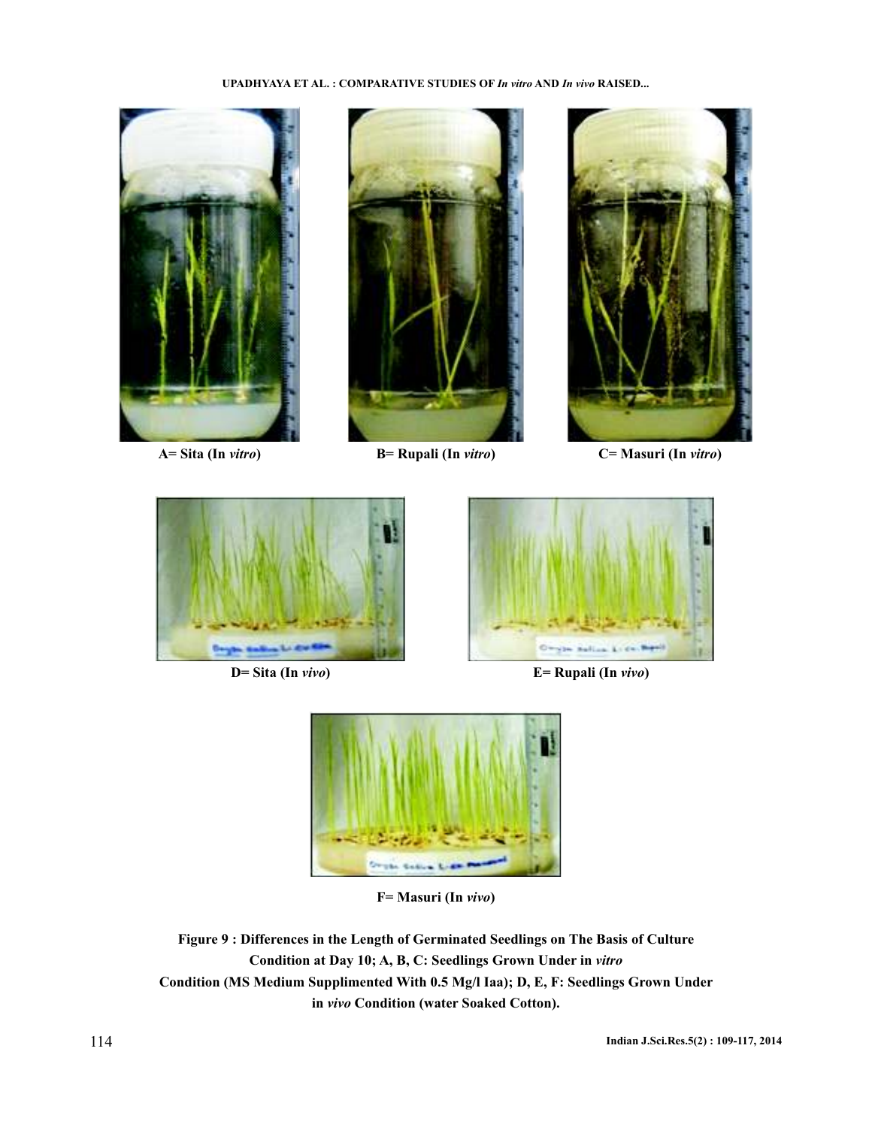





**A= Sita (In )** *vitro* **B= Rupali (In )** *vitro* **C= Masuri (In )** *vitro*





**D= Sita (In vivo) E= Rupali (In vivo)** 



**F= Masuri (In )** *vivo*

**Figure 9 : Differences in the Length of Germinated Seedlings on The Basis of Culture Condition at Day 10; A, B, C: Seedlings Grown Under in** *vitro* **Condition (MS Medium Supplimented With 0.5 Mg/l Iaa); D, E, F: Seedlings Grown Under** in vivo Condition (water Soaked Cotton).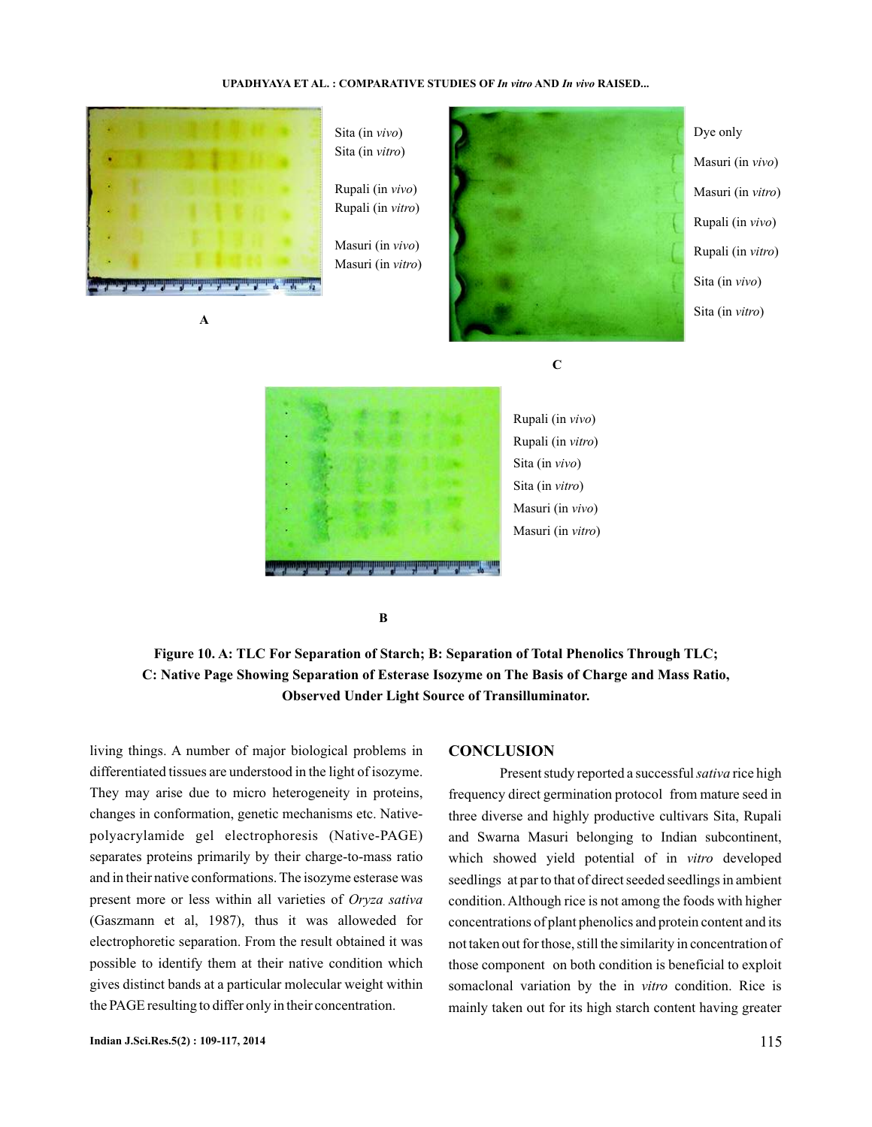

**A**

Sita (in vivo) Sita (in *vitro*)

Rupali (in ) *vivo* Rupali (in ) *vitro*

Masuri (in ) *vivo* Masuri (in ) *vitro*



Dye only Masuri (in ) *vivo* Masuri (in *vitro*) Rupali (in ) *vivo* Rupali (in ) *vitro* Sita (in *vivo*) Sita (in *vitro*)

**C**



Rupali (in ) *vivo* Rupali (in ) *vitro* Sita (in *vivo*) Sita (in *vitro*) Masuri (in ) *vivo* Masuri (in vitro)

**B**

**Figure 10. A: TLC For Separation of Starch; B: Separation of Total Phenolics Through TLC; C: Native Page Showing Separation of Esterase Isozyme on The Basis of Charge and Mass Ratio, Observed Under Light Source of Transilluminator.**

living things. A number of major biological problems in differentiated tissues are understood in the light of isozyme. They may arise due to micro heterogeneity in proteins, changes in conformation, genetic mechanisms etc. Nativepolyacrylamide gel electrophoresis (Native-PAGE) separates proteins primarily by their charge-to-mass ratio and in their native conformations. The isozyme esterase was present more or less within all varieties of *Oryza sativa* (Gaszmann et al, 1987), thus it was alloweded for electrophoretic separation. From the result obtained it was possible to identify them at their native condition which gives distinct bands at a particular molecular weight within the PAGE resulting to differ only in their concentration.

#### **CONCLUSION**

Present study reported a successful sativa rice high frequency direct germination protocol from mature seed in three diverse and highly productive cultivars Sita, Rupali and Swarna Masuri belonging to Indian subcontinent, which showed yield potential of in vitro developed seedlings at par to that of direct seeded seedlings in ambient condition. Although rice is not among the foods with higher concentrations of plant phenolics and protein content and its not taken out for those, still the similarity in concentration of those component on both condition is beneficial to exploit somaclonal variation by the in vitro condition. Rice is mainly taken out for its high starch content having greater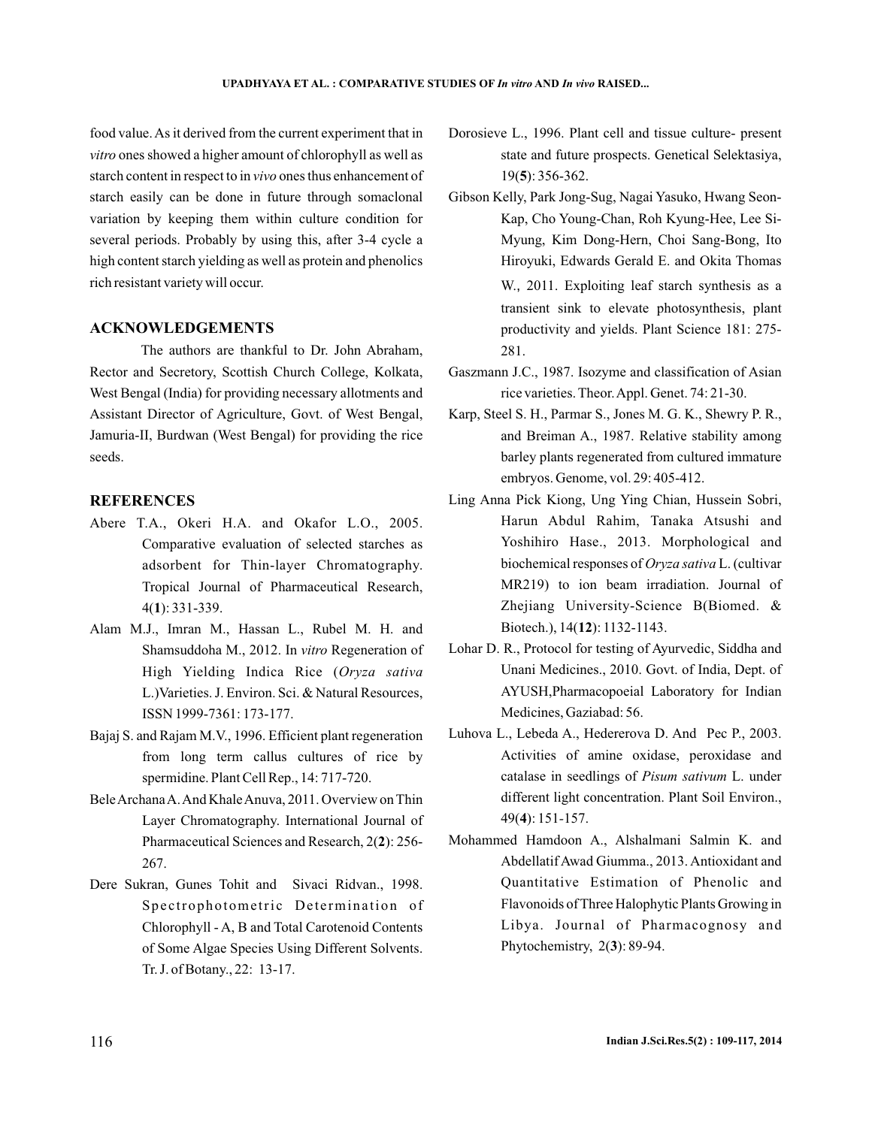food value. As it derived from the current experiment that in vitro ones showed a higher amount of chlorophyll as well as starch content in respect to in *vivo* ones thus enhancement of starch easily can be done in future through somaclonal variation by keeping them within culture condition for several periods. Probably by using this, after 3-4 cycle a high content starch yielding as well as protein and phenolics rich resistant variety will occur.

# **ACKNOWLEDGEMENTS**

The authors are thankful to Dr. John Abraham, Rector and Secretory, Scottish Church College, Kolkata, West Bengal (India) for providing necessary allotments and Assistant Director of Agriculture, Govt. of West Bengal, Jamuria-II, Burdwan (West Bengal) for providing the rice seeds.

## **REFERENCES**

- Abere T.A., Okeri H.A. and Okafor L.O., 2005. Comparative evaluation of selected starches as adsorbent for Thin-layer Chromatography. Tropical Journal of Pharmaceutical Research, 4( ): 331-339. **1**
- Alam M.J., Imran M., Hassan L., Rubel M. H. and Shamsuddoha M., 2012. In vitro Regeneration of High Yielding Indica Rice ( *Oryza sativa* L.)Varieties. J. Environ. Sci. & Natural Resources, ISSN 1999-7361: 173-177.
- Bajaj S. and Rajam M.V., 1996. Efficient plant regeneration from long term callus cultures of rice by spermidine. Plant Cell Rep., 14: 717-720.
- BeleArchanaA.And KhaleAnuva, 2011. Overview on Thin Layer Chromatography. International Journal of Pharmaceutical Sciences and Research, 2(2): 256-267.
- Dere Sukran, Gunes Tohit and Sivaci Ridvan., 1998. Spectrophotometric Determination of Chlorophyll - A, B and Total Carotenoid Contents of Some Algae Species Using Different Solvents. Tr. J. of Botany., 22: 13-17.
- Dorosieve L., 1996. Plant cell and tissue culture- present state and future prospects. Genetical Selektasiya, 19(5): 356-362.
- Gibson Kelly, Park Jong-Sug, Nagai Yasuko, Hwang Seon-Kap, Cho Young-Chan, Roh Kyung-Hee, Lee Si-Myung, Kim Dong-Hern, Choi Sang-Bong, Ito Hiroyuki, Edwards Gerald E. and Okita Thomas W., 2011. Exploiting leaf starch synthesis as a transient sink to elevate photosynthesis, plant productivity and yields. Plant Science 181: 275- 281.
- Gaszmann J.C., 1987. Isozyme and classification of Asian rice varieties. Theor.Appl. Genet. 74: 21-30.
- Karp, Steel S. H., Parmar S., Jones M. G. K., Shewry P. R., and Breiman A., 1987. Relative stability among barley plants regenerated from cultured immature embryos. Genome, vol. 29: 405-412.
- Ling Anna Pick Kiong, Ung Ying Chian, Hussein Sobri, Harun Abdul Rahim, Tanaka Atsushi and Yoshihiro Hase., 2013. Morphological and biochemical responses of *Oryza sativa* L. (cultivar MR219) to ion beam irradiation. Journal of Zhejiang University-Science B(Biomed. & Biotech.), 14(12): 1132-1143.
- Lohar D. R., Protocol for testing of Ayurvedic, Siddha and Unani Medicines., 2010. Govt. of India, Dept. of AYUSH,Pharmacopoeial Laboratory for Indian Medicines, Gaziabad: 56.
- Luhova L., Lebeda A., Hedererova D. And Pec P., 2003. Activities of amine oxidase, peroxidase and catalase in seedlings of Pisum sativum L. under different light concentration. Plant Soil Environ., 49(**4**): 151-157.
- Mohammed Hamdoon A., Alshalmani Salmin K. and Abdellatif Awad Giumma., 2013. Antioxidant and Quantitative Estimation of Phenolic and Flavonoids of Three Halophytic Plants Growing in Libya. Journal of Pharmacognosy and Phytochemistry, 2(3): 89-94.